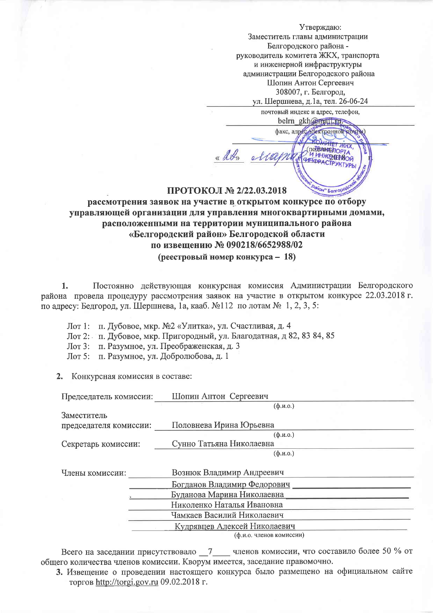Утверждаю: Заместитель главы администрации Белгородского района руководитель комитета ЖКХ, транспорта и инженерной инфраструктуры администрации Белгородского района Шопин Антон Сергеевич 308007, г. Белгород, ул. Шершнева, д.1а, тел. 26-06-24

почтовый индекс и адрес, телефон, belm gkh@matLtd

факс, адрес, электронной дочты

(nothweenop

**I UHUKEZGEROU** 

OH" FenrODO

**41HOPACTPYKTYPL** 

## ПРОТОКОЛ № 2/22.03.2018

u 2ds

alle

# рассмотрения заявок на участие в открытом конкурсе по отбору управляющей организации для управления многоквартирными домами, расположенными на территории муниципального района «Белгородский район» Белгородской области по извешению № 090218/6652988/02 (реестровый номер конкурса - 18)

Постоянно действующая конкурсная комиссия Администрации Белгородского  $1.$ 

района провела процедуру рассмотрения заявок на участие в открытом конкурсе 22.03.2018 г. по адресу: Бедгород, ул. Шершнева, 1а, кааб. №112 по лотам № 1, 2, 3, 5:

Лот 1: п. Дубовое, мкр. №2 «Улитка», ул. Счастливая, д. 4

Лот 2: п. Дубовое, мкр. Пригородный, ул. Благодатная, д 82, 83 84, 85

Лот 3: п. Разумное, ул. Преображенская, д. 3

Лот 5: п. Разумное, ул. Добролюбова, д. 1

2. Конкурсная комиссия в составе:

| Председатель комиссии: | Шопин Антон Сергеевич        |  |
|------------------------|------------------------------|--|
|                        | $(\phi$ . <i>H</i> .O.)      |  |
| Заместитель            |                              |  |
| председателя комиссии: | Половнева Ирина Юрьевна      |  |
|                        | $(\phi$ . <i>H</i> .O.       |  |
| Секретарь комиссии:    | Сунно Татьяна Николаевна     |  |
|                        | $(\phi$ .u.o.)               |  |
|                        |                              |  |
| Члены комиссии:        | Вознюк Владимир Андреевич    |  |
|                        | Богданов Владимир Федорович  |  |
|                        | Буданова Марина Николаевна   |  |
|                        | Николенко Наталья Ивановна   |  |
|                        | Чамкаев Василий Николаевич   |  |
|                        | Кудрявцев Алексей Николаевич |  |
|                        |                              |  |

Всего на заседании присутствовало \_7\_\_\_ членов комиссии, что составило более 50 % от общего количества членов комиссии. Кворум имеется, заседание правомочно.

3. Извешение о проведении настоящего конкурса было размещено на официальном сайте торгов http://torgi.gov.ru 09.02.2018 г.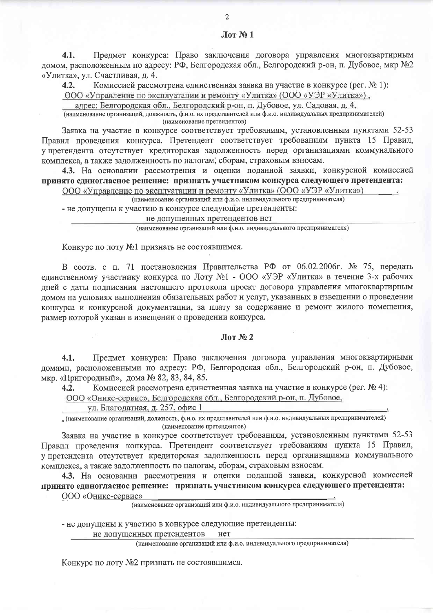Прелмет конкурса: Право заключения договора управления многоквартирным  $4.1.$ домом, расположенным по адресу: РФ, Белгородская обл., Белгородский р-он, п. Дубовое, мкр №2 «Улитка», ул. Счастливая, д. 4.

 $4.2.$ Комиссией рассмотрена елинственная заявка на участие в конкурсе (рег. № 1):

ООО «Управление по эксплуатации и ремонту «Улитка» (ООО «УЭР «Улитка»),

адрес: Белгородская обл., Белгородский р-он, п. Дубовое, ул. Садовая, д. 4,

(наименование организаций, должность, ф.и.о. их представителей или ф.и.о. индивидуальных предпринимателей) (наименование претендентов)

Заявка на участие в конкурсе соответствует требованиям, установленным пунктами 52-53 Правил проведения конкурса. Претендент соответствует требованиям пункта 15 Правил, у претендента отсутствует кредиторская задолженность перед организациями коммунального комплекса, а также задолженность по налогам, сборам, страховым взносам.

4.3. На основании рассмотрения и оценки поданной заявки, конкурсной комиссией принято единогласное решение: признать участником конкурса следующего претендента:

ООО «Управление по эксплуатации и ремонту «Улитка» (ООО «УЭР «Улитка»)

(наименование организаций или ф.и.о. индивидуального предпринимателя)

- не допущены к участию в конкурсе следующие претенденты:

### не допущенных претендентов нет

(наименование организаций или ф.и.о. индивидуального предпринимателя)

Конкурс по лоту №1 признать не состоявшимся.

В соотв. с п. 71 постановления Правительства РФ от 06.02.2006г. № 75, передать елинственному участнику конкурса по Лоту №1 - ООО «УЭР «Улитка» в течение 3-х рабочих дней с даты подписания настоящего протокола проект договора управления многоквартирным домом на условиях выполнения обязательных работ и услуг, указанных в извещении о проведении конкурса и конкурсной документации, за плату за содержание и ремонт жилого помещения, размер которой указан в извещении о проведении конкурса.

#### $Jlor N<sub>2</sub>$

Предмет конкурса: Право заключения договора управления многоквартирными  $4.1.$ домами, расположенными по адресу: РФ, Белгородская обл., Белгородский р-он, п. Дубовое, мкр. «Пригородный», дома № 82, 83, 84, 85.

Комиссией рассмотрена единственная заявка на участие в конкурсе (рег. № 4):  $4.2.$ 

ООО «Оникс-сервис», Белгородская обл., Белгородский р-он, п. Дубовое,

ул. Благодатная, д. 257, офис 1

• (наименование организаций, должность, ф.и.о. их представителей или ф.и.о. индивидуальных предпринимателей) (наименование претендентов)

Заявка на участие в конкурсе соответствует требованиям, установленным пунктами 52-53 Правил проведения конкурса. Претендент соответствует требованиям пункта 15 Правил, у претендента отсутствует кредиторская задолженность перед организациями коммунального комплекса, а также задолженность по налогам, сборам, страховым взносам.

4.3. На основании рассмотрения и оценки поданной заявки, конкурсной комиссией принято единогласное решение: признать участником конкурса следующего претендента: ООО «Оникс-сервис»

(наименование организаций или ф.и.о. индивидуального предпринимателя)

- не допущены к участию в конкурсе следующие претенденты:

не допущенных претендентов нет

(наименование организаций или ф.и.о. индивидуального предпринимателя)

Конкурс по лоту №2 признать не состоявшимся.

 $\pi$  Мот $\mathbf{N}$ о 1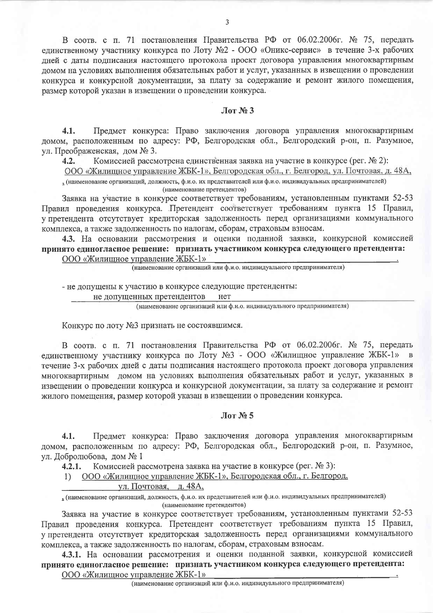В соотв. с п. 71 постановления Правительства РФ от 06.02.2006г. № 75, передать единственному участнику конкурса по Лоту №2 - ООО «Оникс-сервис» в течение 3-х рабочих дней с даты подписания настоящего протокола проект договора управления многоквартирным домом на условиях выполнения обязательных работ и услуг, указанных в извещении о проведении конкурса и конкурсной документации, за плату за содержание и ремонт жилого помещения, размер которой указан в извещении о проведении конкурса.

#### $\pi N_2$  3

Предмет конкурса: Право заключения договора управления многоквартирным  $4.1.$ домом, расположенным по адресу: РФ, Белгородская обл., Белгородский р-он, п. Разумное, ∨л. Преображенская, дом № 3.

Комиссией рассмотрена единственная заявка на участие в конкурсе (рег. № 2):  $4.2.$ 

ООО «Жилищное управление ЖБК-1», Белгородская обл., г. Белгород, ул. Почтовая, д. 48А, , (наименование организаций, должность, ф.и.о. их представителей или ф.и.о. индивидуальных предпринимателей) (наименование претендентов)

Заявка на участие в конкурсе соответствует требованиям, установленным пунктами 52-53 Правил проведения конкурса. Претендент соответствует требованиям пункта 15 Правил, у претендента отсутствует кредиторская задолженность перед организациями коммунального комплекса, а также задолженность по налогам, сборам, страховым взносам.

4.3. На основании рассмотрения и оценки поданной заявки, конкурсной комиссией принято единогласное решение: признать участником конкурса следующего претендента: ООО «Жилищное управление ЖБК-1»

(наименование организаций или ф.и.о. индивидуального предпринимателя)

- не допущены к участию в конкурсе следующие претенденты:

не допущенных претендентов нет

(наименование организаций или ф.и.о. индивидуального предпринимателя)

Конкурс по лоту №3 признать не состоявшимся.

В соотв. с п. 71 постановления Правительства РФ от 06.02.2006г. № 75, передать единственному участнику конкурса по Лоту №3 - ООО «Жилищное управление ЖБК-1» в течение 3-х рабочих дней с даты подписания настоящего протокола проект договора управления многоквартирным домом на условиях выполнения обязательных работ и услуг, указанных в извещении о проведении конкурса и конкурсной документации, за плату за содержание и ремонт жилого помещения, размер которой указан в извещении о проведении конкурса.

#### $JIor N<sub>2</sub> 5$

Предмет конкурса: Право заключения договора управления многоквартирным  $4.1.$ домом, расположенным по адресу: РФ, Белгородская обл., Белгородский р-он, п. Разумное, ул. Добролюбова, дом № 1

Комиссией рассмотрена заявка на участие в конкурсе (рег. № 3):  $4.2.1.$ 

ООО «Жилищное управление ЖБК-1», Белгородская обл., г. Белгород,  $1)$ 

#### ул. Почтовая, д. 48А,

, (наименование организаций, должность, ф.и.о. их представителей или ф.и.о. индивидуальных предпринимателей) (наименование претендентов)

Заявка на участие в конкурсе соответствует требованиям, установленным пунктами 52-53 Правил проведения конкурса. Претендент соответствует требованиям пункта 15 Правил, у претендента отсутствует кредиторская задолженность перед организациями коммунального комплекса, а также задолженность по налогам, сборам, страховым взносам.

4.3.1. На основании рассмотрения и оценки поданной заявки, конкурсной комиссией принято единогласное решение: признать участником конкурса следующего претендента: ООО «Жилишное управление ЖБК-1»

(наименование организаций или ф.и.о. индивидуального предпринимателя)